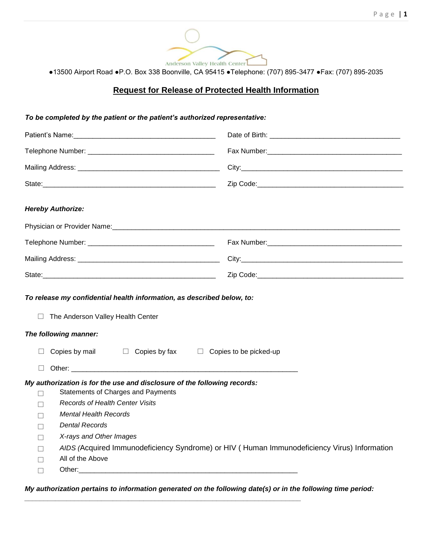

●13500 Airport Road ●P.O. Box 338 Boonville, CA 95415 ●Telephone: (707) 895-3477 ●Fax: (707) 895-2035

## **Request for Release of Protected Health Information**

## *To be completed by the patient or the patient's authorized representative:*

| <b>Hereby Authorize:</b>                                                                                                                                                                                                                                                                                                                                                                                                                                                                                                                                       |                                                                                             |
|----------------------------------------------------------------------------------------------------------------------------------------------------------------------------------------------------------------------------------------------------------------------------------------------------------------------------------------------------------------------------------------------------------------------------------------------------------------------------------------------------------------------------------------------------------------|---------------------------------------------------------------------------------------------|
|                                                                                                                                                                                                                                                                                                                                                                                                                                                                                                                                                                |                                                                                             |
|                                                                                                                                                                                                                                                                                                                                                                                                                                                                                                                                                                |                                                                                             |
|                                                                                                                                                                                                                                                                                                                                                                                                                                                                                                                                                                |                                                                                             |
|                                                                                                                                                                                                                                                                                                                                                                                                                                                                                                                                                                |                                                                                             |
| To release my confidential health information, as described below, to:<br>$\Box$<br>The Anderson Valley Health Center<br>The following manner:<br>Copies by mail $\Box$ Copies by fax $\Box$ Copies to be picked-up<br>$\perp$                                                                                                                                                                                                                                                                                                                                 |                                                                                             |
| $\Box$                                                                                                                                                                                                                                                                                                                                                                                                                                                                                                                                                         |                                                                                             |
| My authorization is for the use and disclosure of the following records:<br>Statements of Charges and Payments<br>$\Box$<br><b>Records of Health Center Visits</b><br>П<br><b>Mental Health Records</b><br>$\Box$<br><b>Dental Records</b><br>П<br>X-rays and Other Images<br>$\Box$<br>$\Box$<br>All of the Above<br>Other: will be a series of the contract of the contract of the contract of the contract of the contract of the contract of the contract of the contract of the contract of the contract of the contract of the contract of the<br>$\Box$ | AIDS (Acquired Immunodeficiency Syndrome) or HIV (Human Immunodeficiency Virus) Information |

*My authorization pertains to information generated on the following date(s) or in the following time period:*

*\_\_\_\_\_\_\_\_\_\_\_\_\_\_\_\_\_\_\_\_\_\_\_\_\_\_\_\_\_\_\_\_\_\_\_\_\_\_\_\_\_\_\_\_\_\_\_\_\_\_\_\_\_\_\_\_\_\_\_\_\_\_\_\_\_\_\_\_\_\_\_\_*